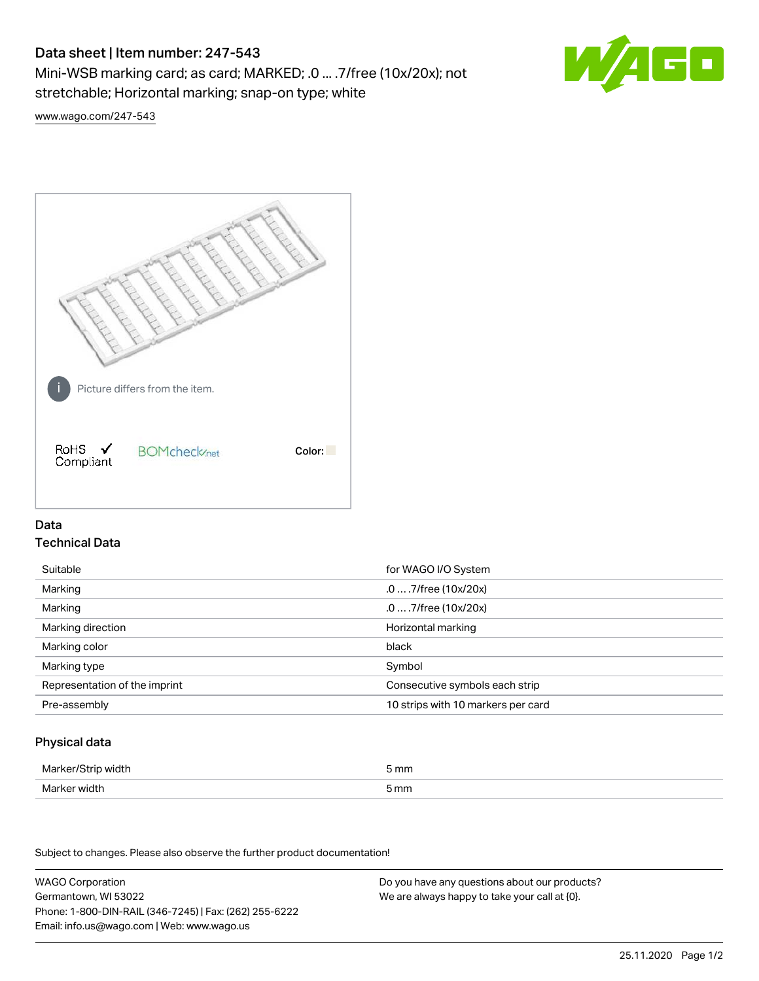# Data sheet | Item number: 247-543

Mini-WSB marking card; as card; MARKED; .0 ... .7/free (10x/20x); not stretchable; Horizontal marking; snap-on type; white



[www.wago.com/247-543](http://www.wago.com/247-543)



## Data Technical Data

| Suitable                      | for WAGO I/O System                |
|-------------------------------|------------------------------------|
| Marking                       | $.0 \ldots .7$ /free (10x/20x)     |
| Marking                       | $.0 \ldots .7$ /free (10x/20x)     |
| Marking direction             | Horizontal marking                 |
| Marking color                 | black                              |
| Marking type                  | Symbol                             |
| Representation of the imprint | Consecutive symbols each strip     |
| Pre-assembly                  | 10 strips with 10 markers per card |

## Physical data

| Marker/Strip width | 5 mm |
|--------------------|------|
| Marker width       | 5 mm |

Subject to changes. Please also observe the further product documentation!

WAGO Corporation Germantown, WI 53022 Phone: 1-800-DIN-RAIL (346-7245) | Fax: (262) 255-6222 Email: info.us@wago.com | Web: www.wago.us Do you have any questions about our products? We are always happy to take your call at {0}.